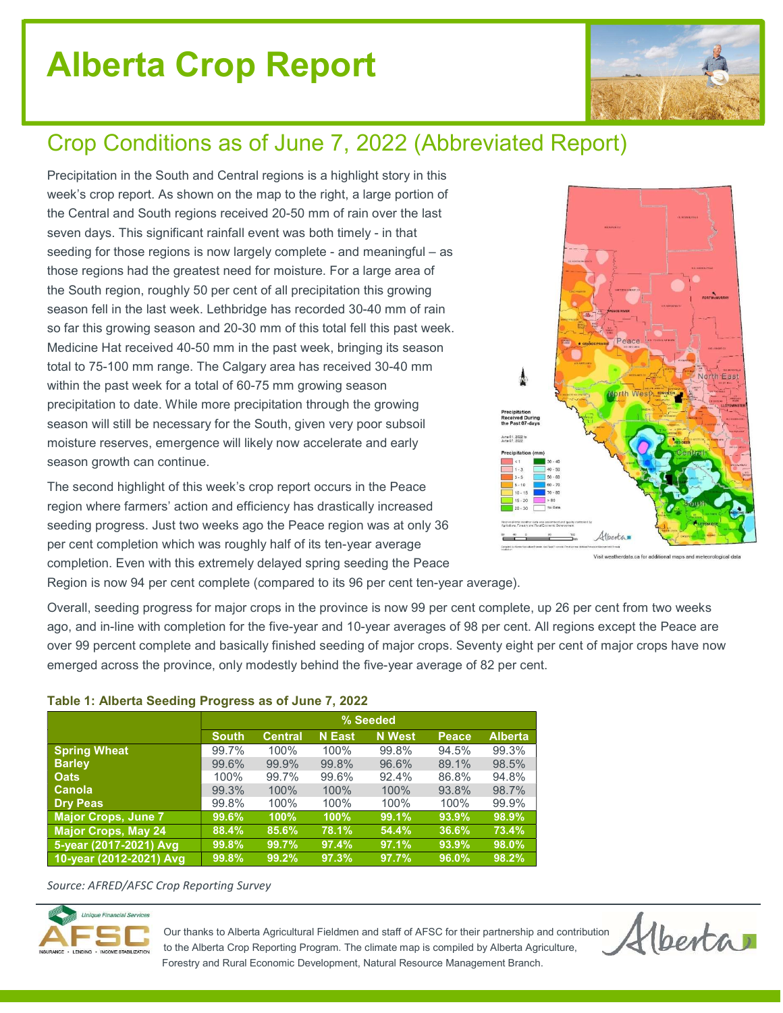# Alberta Crop Report



## Crop Conditions as of June 7, 2022 (Abbreviated Report)

Precipitation in the South and Central regions is a highlight story in this week's crop report. As shown on the map to the right, a large portion of the Central and South regions received 20-50 mm of rain over the last seven days. This significant rainfall event was both timely - in that seeding for those regions is now largely complete - and meaningful – as those regions had the greatest need for moisture. For a large area of the South region, roughly 50 per cent of all precipitation this growing season fell in the last week. Lethbridge has recorded 30-40 mm of rain so far this growing season and 20-30 mm of this total fell this past week. Medicine Hat received 40-50 mm in the past week, bringing its season total to 75-100 mm range. The Calgary area has received 30-40 mm within the past week for a total of 60-75 mm growing season precipitation to date. While more precipitation through the growing season will still be necessary for the South, given very poor subsoil moisture reserves, emergence will likely now accelerate and early season growth can continue.

The second highlight of this week's crop report occurs in the Peace region where farmers' action and efficiency has drastically increased seeding progress. Just two weeks ago the Peace region was at only 36 per cent completion which was roughly half of its ten-year average completion. Even with this extremely delayed spring seeding the Peace



Visit weatherdata.ca for additional maps and

Region is now 94 per cent complete (compared to its 96 per cent ten-year average).

Overall, seeding progress for major crops in the province is now 99 per cent complete, up 26 per cent from two weeks ago, and in-line with completion for the five-year and 10-year averages of 98 per cent. All regions except the Peace are over 99 percent complete and basically finished seeding of major crops. Seventy eight per cent of major crops have now emerged across the province, only modestly behind the five-year average of 82 per cent.

#### Table 1: Alberta Seeding Progress as of June 7, 2022

| .                          |              |                |               |               |       |                |  |  |  |
|----------------------------|--------------|----------------|---------------|---------------|-------|----------------|--|--|--|
|                            | % Seeded     |                |               |               |       |                |  |  |  |
|                            | <b>South</b> | <b>Central</b> | <b>N</b> East | <b>N</b> West | Peace | <b>Alberta</b> |  |  |  |
| <b>Spring Wheat</b>        | 99.7%        | 100%           | 100%          | 99.8%         | 94.5% | 99.3%          |  |  |  |
| <b>Barley</b>              | 99.6%        | 99.9%          | 99.8%         | 96.6%         | 89.1% | 98.5%          |  |  |  |
| <b>Oats</b>                | 100%         | 99.7%          | 99.6%         | 92.4%         | 86.8% | 94.8%          |  |  |  |
| Canola                     | 99.3%        | 100%           | 100%          | 100%          | 93.8% | 98.7%          |  |  |  |
| <b>Dry Peas</b>            | 99.8%        | 100%           | 100%          | 100%          | 100%  | 99.9%          |  |  |  |
| <b>Major Crops, June 7</b> | 99.6%        | 100%           | $100\%$       | 99.1%         | 93.9% | 98.9%          |  |  |  |
| Major Crops, May 24        | 88.4%        | 85.6%          | 78.1%         | 54.4%         | 36.6% | 73.4%          |  |  |  |
| 5-year (2017-2021) Avg     | 99.8%        | 99.7%          | 97.4%         | 97.1%         | 93.9% | 98.0%          |  |  |  |
| 10-year (2012-2021) Avg    | 99.8%        | 99.2%          | 97.3%         | 97.7%         | 96.0% | 98.2%          |  |  |  |

Source: AFRED/AFSC Crop Reporting Survey



 Our thanks to Alberta Agricultural Fieldmen and staff of AFSC for their partnership and contribution to the Alberta Crop Reporting Program. The climate map is compiled by Alberta Agriculture, Forestry and Rural Economic Development, Natural Resource Management Branch.

Hberta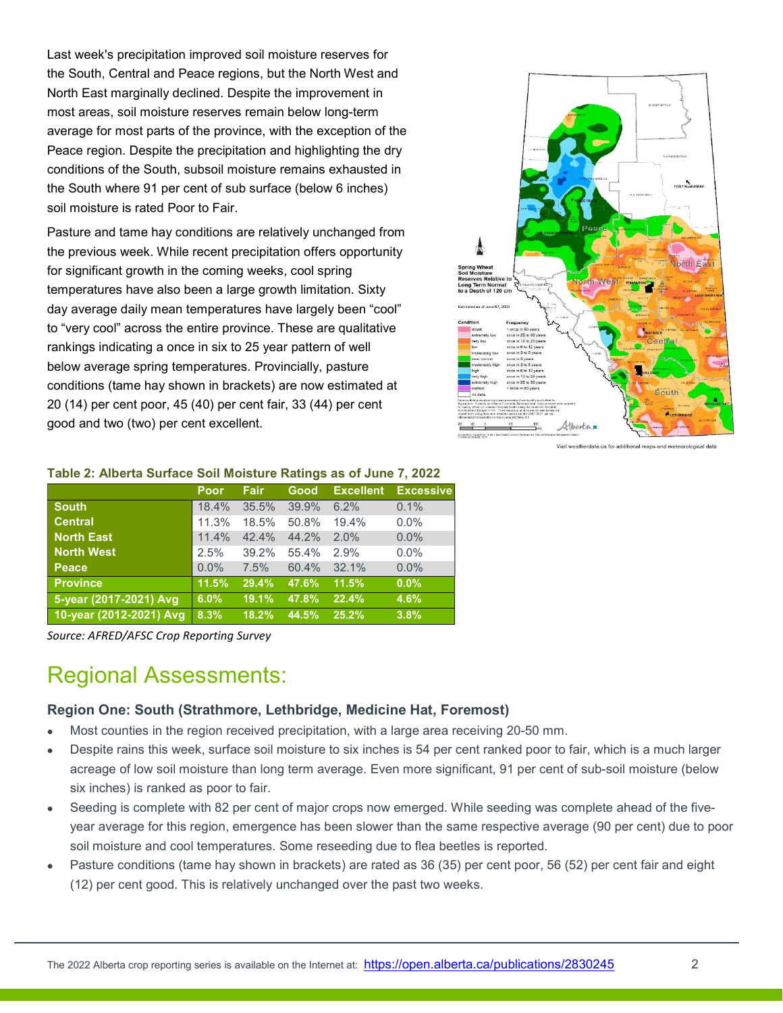Last week's precipitation improved soil moisture reserves for the South, Central and Peace regions, but the North West and North East marginally declined. Despite the improvement in most areas, soil moisture reserves remain below long-term average for most parts of the province, with the exception of the Peace region. Despite the precipitation and highlighting the dry conditions of the South, subsoil moisture remains exhausted in the South where 91 per cent of sub surface (below 6 inches) soil moisture is rated Poor to Fair.

Pasture and tame hay conditions are relatively unchanged from the previous week. While recent precipitation offers opportunity for significant growth in the coming weeks, cool spring temperatures have also been a large growth limitation. Sixty day average daily mean temperatures have largely been "cool" to "very cool" across the entire province. These are qualitative rankings indicating a once in six to 25 year pattern of well below average spring temperatures. Provincially, pasture conditions (tame hay shown in brackets) are now estimated at 20 (14) per cent poor, 45 (40) per cent fair, 33 (44) per cent good and two (two) per cent excellent.



Visit weatherdata.ca for additional maps and meteorological data

| Table 2: Alberta Suriace Soll Moisture Ratings as Of June 7, 2022 |         |             |       |                  |                  |  |  |  |  |
|-------------------------------------------------------------------|---------|-------------|-------|------------------|------------------|--|--|--|--|
|                                                                   | Poor    | <b>Fair</b> | Good  | <b>Excellent</b> | <b>Excessive</b> |  |  |  |  |
| <b>South</b>                                                      | 18.4%   | 35.5%       | 39.9% | 6.2%             | 0.1%             |  |  |  |  |
| <b>Central</b>                                                    | 11.3%   | 18.5%       | 50.8% | 19.4%            | $0.0\%$          |  |  |  |  |
| <b>North East</b>                                                 | 11.4%   | 42.4%       | 44.2% | 2.0%             | 0.0%             |  |  |  |  |
| <b>North West</b>                                                 | 2.5%    | 39.2%       | 55.4% | 2.9%             | 0.0%             |  |  |  |  |
| Peace                                                             | $0.0\%$ | 7.5%        | 60.4% | 32.1%            | 0.0%             |  |  |  |  |
| <b>Province</b>                                                   | 11.5%   | 29.4%       | 47.6% | 11.5%            | $0.0\%$          |  |  |  |  |
| 5-year (2017-2021) Avg                                            | 6.0%    | 19.1%       | 47.8% | 22.4%            | 4.6%             |  |  |  |  |
| 10-year (2012-2021) Avg                                           | 8.3%    | 18.2%       | 44.5% | 25.2%            | 3.8%             |  |  |  |  |

#### Table 2: Alberta Surface Soil Moisture Ratings as of June 7, 2022

Source: AFRED/AFSC Crop Reporting Survey

### Regional Assessments:

#### Region One: South (Strathmore, Lethbridge, Medicine Hat, Foremost)

- Most counties in the region received precipitation, with a large area receiving 20-50 mm.
- Despite rains this week, surface soil moisture to six inches is 54 per cent ranked poor to fair, which is a much larger acreage of low soil moisture than long term average. Even more significant, 91 per cent of sub-soil moisture (below six inches) is ranked as poor to fair.
- Seeding is complete with 82 per cent of major crops now emerged. While seeding was complete ahead of the fiveyear average for this region, emergence has been slower than the same respective average (90 per cent) due to poor soil moisture and cool temperatures. Some reseeding due to flea beetles is reported.
- Pasture conditions (tame hay shown in brackets) are rated as 36 (35) per cent poor, 56 (52) per cent fair and eight (12) per cent good. This is relatively unchanged over the past two weeks.